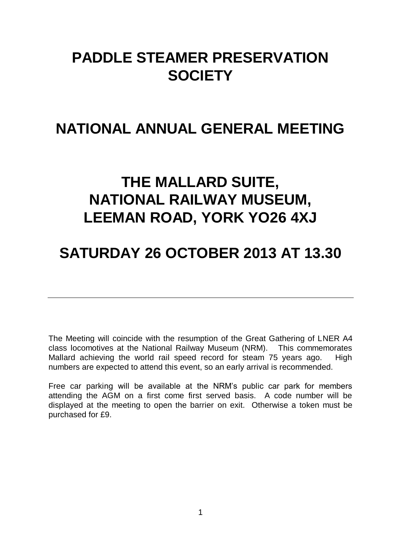# **PADDLE STEAMER PRESERVATION SOCIETY**

# **NATIONAL ANNUAL GENERAL MEETING**

# **THE MALLARD SUITE, NATIONAL RAILWAY MUSEUM, LEEMAN ROAD, YORK YO26 4XJ**

# **SATURDAY 26 OCTOBER 2013 AT 13.30**

The Meeting will coincide with the resumption of the Great Gathering of LNER A4 class locomotives at the National Railway Museum (NRM). This commemorates Mallard achieving the world rail speed record for steam 75 years ago. High numbers are expected to attend this event, so an early arrival is recommended.

Free car parking will be available at the NRM's public car park for members attending the AGM on a first come first served basis. A code number will be displayed at the meeting to open the barrier on exit. Otherwise a token must be purchased for £9.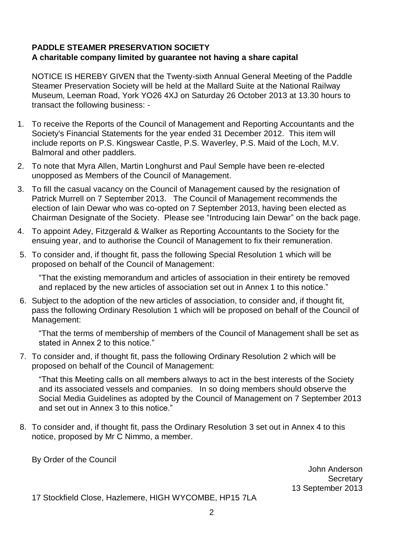# **PADDLE STEAMER PRESERVATION SOCIETY A charitable company limited by guarantee not having a share capital**

NOTICE IS HEREBY GIVEN that the Twenty-sixth Annual General Meeting of the Paddle Steamer Preservation Society will be held at the Mallard Suite at the National Railway Museum, Leeman Road, York YO26 4XJ on Saturday 26 October 2013 at 13.30 hours to transact the following business: -

- 1. To receive the Reports of the Council of Management and Reporting Accountants and the Society's Financial Statements for the year ended 31 December 2012. This item will include reports on P.S. Kingswear Castle, P.S. Waverley, P.S. Maid of the Loch, M.V. Balmoral and other paddlers.
- 2. To note that Myra Allen, Martin Longhurst and Paul Semple have been re-elected unopposed as Members of the Council of Management.
- 3. To fill the casual vacancy on the Council of Management caused by the resignation of Patrick Murrell on 7 September 2013. The Council of Management recommends the election of Iain Dewar who was co-opted on 7 September 2013, having been elected as Chairman Designate of the Society. Please see "Introducing Iain Dewar" on the back page.
- 4. To appoint Adey, Fitzgerald & Walker as Reporting Accountants to the Society for the ensuing year, and to authorise the Council of Management to fix their remuneration.
- 5. To consider and, if thought fit, pass the following Special Resolution 1 which will be proposed on behalf of the Council of Management:

"That the existing memorandum and articles of association in their entirety be removed and replaced by the new articles of association set out in Annex 1 to this notice."

6. Subject to the adoption of the new articles of association, to consider and, if thought fit, pass the following Ordinary Resolution 1 which will be proposed on behalf of the Council of Management:

"That the terms of membership of members of the Council of Management shall be set as stated in Annex 2 to this notice."

7. To consider and, if thought fit, pass the following Ordinary Resolution 2 which will be proposed on behalf of the Council of Management:

"That this Meeting calls on all members always to act in the best interests of the Society and its associated vessels and companies. In so doing members should observe the Social Media Guidelines as adopted by the Council of Management on 7 September 2013 and set out in Annex 3 to this notice."

8. To consider and, if thought fit, pass the Ordinary Resolution 3 set out in Annex 4 to this notice, proposed by Mr C Nimmo, a member.

By Order of the Council

John Anderson **Secretary** 13 September 2013

17 Stockfield Close, Hazlemere, HIGH WYCOMBE, HP15 7LA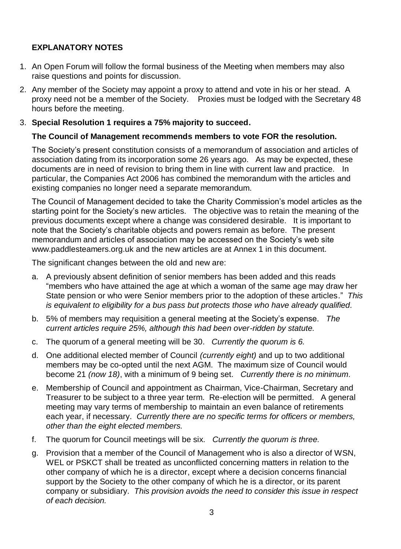# **EXPLANATORY NOTES**

- 1. An Open Forum will follow the formal business of the Meeting when members may also raise questions and points for discussion.
- 2. Any member of the Society may appoint a proxy to attend and vote in his or her stead. A proxy need not be a member of the Society. Proxies must be lodged with the Secretary 48 hours before the meeting.

# 3. **Special Resolution 1 requires a 75% majority to succeed.**

# **The Council of Management recommends members to vote FOR the resolution.**

The Society's present constitution consists of a memorandum of association and articles of association dating from its incorporation some 26 years ago. As may be expected, these documents are in need of revision to bring them in line with current law and practice. In particular, the Companies Act 2006 has combined the memorandum with the articles and existing companies no longer need a separate memorandum.

The Council of Management decided to take the Charity Commission's model articles as the starting point for the Society's new articles. The objective was to retain the meaning of the previous documents except where a change was considered desirable. It is important to note that the Society's charitable objects and powers remain as before. The present memorandum and articles of association may be accessed on the Society's web site [www.paddlesteamers.org.uk](http://www.paddlesteamers.org.uk/) and the new articles are at Annex 1 in this document.

The significant changes between the old and new are:

- a. A previously absent definition of senior members has been added and this reads "members who have attained the age at which a woman of the same age may draw her State pension or who were Senior members prior to the adoption of these articles." *This is equivalent to eligibility for a bus pass but protects those who have already qualified.*
- b. 5% of members may requisition a general meeting at the Society's expense. *The current articles require 25%, although this had been over-ridden by statute.*
- c. The quorum of a general meeting will be 30. *Currently the quorum is 6.*
- d. One additional elected member of Council *(currently eight)* and up to two additional members may be co-opted until the next AGM. The maximum size of Council would become 21 *(now 18)*, with a minimum of 9 being set. *Currently there is no minimum.*
- e. Membership of Council and appointment as Chairman, Vice-Chairman, Secretary and Treasurer to be subject to a three year term. Re-election will be permitted. A general meeting may vary terms of membership to maintain an even balance of retirements each year, if necessary. *Currently there are no specific terms for officers or members, other than the eight elected members.*
- f. The quorum for Council meetings will be six. *Currently the quorum is three.*
- g. Provision that a member of the Council of Management who is also a director of WSN, WEL or PSKCT shall be treated as unconflicted concerning matters in relation to the other company of which he is a director, except where a decision concerns financial support by the Society to the other company of which he is a director, or its parent company or subsidiary. *This provision avoids the need to consider this issue in respect of each decision.*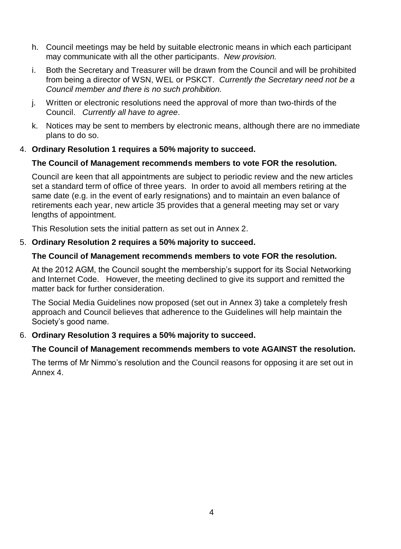- h. Council meetings may be held by suitable electronic means in which each participant may communicate with all the other participants. *New provision.*
- i. Both the Secretary and Treasurer will be drawn from the Council and will be prohibited from being a director of WSN, WEL or PSKCT. *Currently the Secretary need not be a Council member and there is no such prohibition.*
- j. Written or electronic resolutions need the approval of more than two-thirds of the Council. *Currently all have to agree*.
- k. Notices may be sent to members by electronic means, although there are no immediate plans to do so.

# 4. **Ordinary Resolution 1 requires a 50% majority to succeed.**

# **The Council of Management recommends members to vote FOR the resolution.**

Council are keen that all appointments are subject to periodic review and the new articles set a standard term of office of three years. In order to avoid all members retiring at the same date (e.g. in the event of early resignations) and to maintain an even balance of retirements each year, new article 35 provides that a general meeting may set or vary lengths of appointment.

This Resolution sets the initial pattern as set out in Annex 2.

# 5. **Ordinary Resolution 2 requires a 50% majority to succeed.**

# **The Council of Management recommends members to vote FOR the resolution.**

At the 2012 AGM, the Council sought the membership's support for its Social Networking and Internet Code. However, the meeting declined to give its support and remitted the matter back for further consideration.

The Social Media Guidelines now proposed (set out in Annex 3) take a completely fresh approach and Council believes that adherence to the Guidelines will help maintain the Society's good name.

# 6. **Ordinary Resolution 3 requires a 50% majority to succeed.**

# **The Council of Management recommends members to vote AGAINST the resolution.**

The terms of Mr Nimmo's resolution and the Council reasons for opposing it are set out in Annex 4.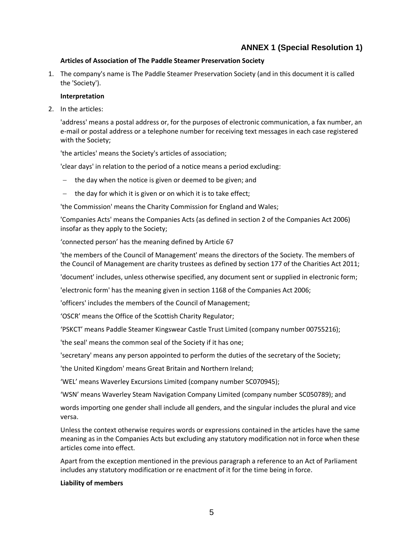# **ANNEX 1 (Special Resolution 1)**

#### **Articles of Association of The Paddle Steamer Preservation Society**

1. The company's name is The Paddle Steamer Preservation Society (and in this document it is called the 'Society').

#### **Interpretation**

2. In the articles:

'address' means a postal address or, for the purposes of electronic communication, a fax number, an e-mail or postal address or a telephone number for receiving text messages in each case registered with the Society;

'the articles' means the Society's articles of association;

'clear days' in relation to the period of a notice means a period excluding:

- $-$  the day when the notice is given or deemed to be given; and
- the day for which it is given or on which it is to take effect;

'the Commission' means the Charity Commission for England and Wales;

'Companies Acts' means the Companies Acts (as defined in section 2 of the Companies Act 2006) insofar as they apply to the Society;

'connected person' has the meaning defined by Article 67

'the members of the Council of Management' means the directors of the Society. The members of the Council of Management are charity trustees as defined by section 177 of the Charities Act 2011;

'document' includes, unless otherwise specified, any document sent or supplied in electronic form;

'electronic form' has the meaning given in section 1168 of the Companies Act 2006;

'officers' includes the members of the Council of Management;

'OSCR' means the Office of the Scottish Charity Regulator;

'PSKCT' means Paddle Steamer Kingswear Castle Trust Limited (company number 00755216);

'the seal' means the common seal of the Society if it has one;

'secretary' means any person appointed to perform the duties of the secretary of the Society;

'the United Kingdom' means Great Britain and Northern Ireland;

'WEL' means Waverley Excursions Limited (company number SC070945);

'WSN' means Waverley Steam Navigation Company Limited (company number SC050789); and

words importing one gender shall include all genders, and the singular includes the plural and vice versa.

Unless the context otherwise requires words or expressions contained in the articles have the same meaning as in the Companies Acts but excluding any statutory modification not in force when these articles come into effect.

Apart from the exception mentioned in the previous paragraph a reference to an Act of Parliament includes any statutory modification or re enactment of it for the time being in force.

#### **Liability of members**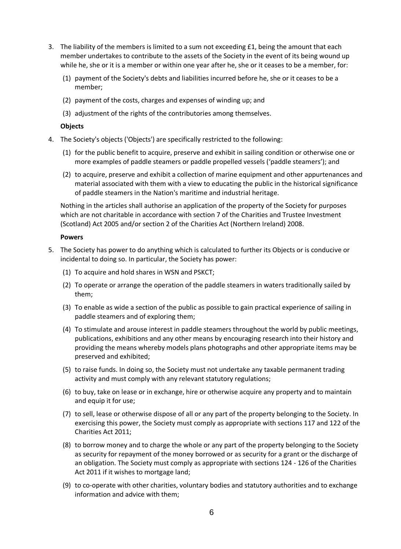- 3. The liability of the members is limited to a sum not exceeding  $£1$ , being the amount that each member undertakes to contribute to the assets of the Society in the event of its being wound up while he, she or it is a member or within one year after he, she or it ceases to be a member, for:
	- (1) payment of the Society's debts and liabilities incurred before he, she or it ceases to be a member;
	- (2) payment of the costs, charges and expenses of winding up; and
	- (3) adjustment of the rights of the contributories among themselves.

#### **Objects**

- 4. The Society's objects ('Objects') are specifically restricted to the following:
	- (1) for the public benefit to acquire, preserve and exhibit in sailing condition or otherwise one or more examples of paddle steamers or paddle propelled vessels ('paddle steamers'); and
	- (2) to acquire, preserve and exhibit a collection of marine equipment and other appurtenances and material associated with them with a view to educating the public in the historical significance of paddle steamers in the Nation's maritime and industrial heritage.

Nothing in the articles shall authorise an application of the property of the Society for purposes which are not charitable in accordance with section 7 of the Charities and Trustee Investment (Scotland) Act 2005 and/or section 2 of the Charities Act (Northern Ireland) 2008.

#### **Powers**

- 5. The Society has power to do anything which is calculated to further its Objects or is conducive or incidental to doing so. In particular, the Society has power:
	- (1) To acquire and hold shares in WSN and PSKCT;
	- (2) To operate or arrange the operation of the paddle steamers in waters traditionally sailed by them;
	- (3) To enable as wide a section of the public as possible to gain practical experience of sailing in paddle steamers and of exploring them;
	- (4) To stimulate and arouse interest in paddle steamers throughout the world by public meetings, publications, exhibitions and any other means by encouraging research into their history and providing the means whereby models plans photographs and other appropriate items may be preserved and exhibited;
	- (5) to raise funds. In doing so, the Society must not undertake any taxable permanent trading activity and must comply with any relevant statutory regulations;
	- (6) to buy, take on lease or in exchange, hire or otherwise acquire any property and to maintain and equip it for use;
	- (7) to sell, lease or otherwise dispose of all or any part of the property belonging to the Society. In exercising this power, the Society must comply as appropriate with sections 117 and 122 of the Charities Act 2011;
	- (8) to borrow money and to charge the whole or any part of the property belonging to the Society as security for repayment of the money borrowed or as security for a grant or the discharge of an obligation. The Society must comply as appropriate with sections 124 - 126 of the Charities Act 2011 if it wishes to mortgage land;
	- (9) to co-operate with other charities, voluntary bodies and statutory authorities and to exchange information and advice with them;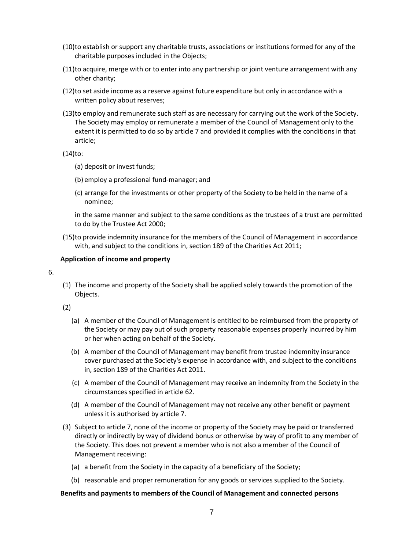- (10)to establish or support any charitable trusts, associations or institutions formed for any of the charitable purposes included in the Objects;
- (11)to acquire, merge with or to enter into any partnership or joint venture arrangement with any other charity;
- (12)to set aside income as a reserve against future expenditure but only in accordance with a written policy about reserves;
- (13)to employ and remunerate such staff as are necessary for carrying out the work of the Society. The Society may employ or remunerate a member of the Council of Management only to the extent it is permitted to do so by article 7 and provided it complies with the conditions in that article;

 $(14)$ to:

- (a) deposit or invest funds;
- (b) employ a professional fund-manager; and
- (c) arrange for the investments or other property of the Society to be held in the name of a nominee;

in the same manner and subject to the same conditions as the trustees of a trust are permitted to do by the Trustee Act 2000;

(15)to provide indemnity insurance for the members of the Council of Management in accordance with, and subject to the conditions in, section 189 of the Charities Act 2011;

#### **Application of income and property**

6.

(1) The income and property of the Society shall be applied solely towards the promotion of the Objects.

(2)

- (a) A member of the Council of Management is entitled to be reimbursed from the property of the Society or may pay out of such property reasonable expenses properly incurred by him or her when acting on behalf of the Society.
- (b) A member of the Council of Management may benefit from trustee indemnity insurance cover purchased at the Society's expense in accordance with, and subject to the conditions in, section 189 of the Charities Act 2011.
- (c) A member of the Council of Management may receive an indemnity from the Society in the circumstances specified in article 62.
- (d) A member of the Council of Management may not receive any other benefit or payment unless it is authorised by article 7.
- (3) Subject to article 7, none of the income or property of the Society may be paid or transferred directly or indirectly by way of dividend bonus or otherwise by way of profit to any member of the Society. This does not prevent a member who is not also a member of the Council of Management receiving:
	- (a) a benefit from the Society in the capacity of a beneficiary of the Society;
	- (b) reasonable and proper remuneration for any goods or services supplied to the Society.

#### **Benefits and payments to members of the Council of Management and connected persons**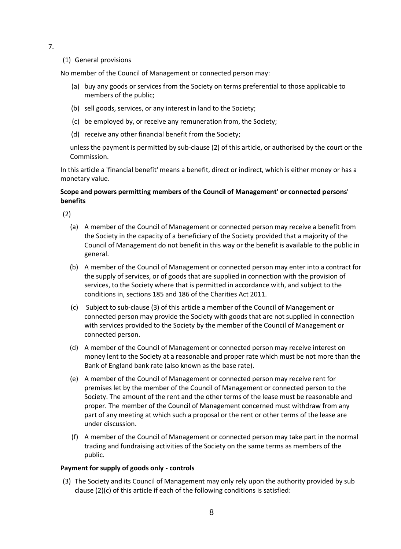- 7.
- (1) General provisions

No member of the Council of Management or connected person may:

- (a) buy any goods or services from the Society on terms preferential to those applicable to members of the public;
- (b) sell goods, services, or any interest in land to the Society;
- (c) be employed by, or receive any remuneration from, the Society;
- (d) receive any other financial benefit from the Society;

unless the payment is permitted by sub-clause (2) of this article, or authorised by the court or the Commission.

In this article a 'financial benefit' means a benefit, direct or indirect, which is either money or has a monetary value.

#### **Scope and powers permitting members of the Council of Management' or connected persons' benefits**

(2)

- (a) A member of the Council of Management or connected person may receive a benefit from the Society in the capacity of a beneficiary of the Society provided that a majority of the Council of Management do not benefit in this way or the benefit is available to the public in general.
- (b) A member of the Council of Management or connected person may enter into a contract for the supply of services, or of goods that are supplied in connection with the provision of services, to the Society where that is permitted in accordance with, and subject to the conditions in, sections 185 and 186 of the Charities Act 2011.
- (c) Subject to sub-clause (3) of this article a member of the Council of Management or connected person may provide the Society with goods that are not supplied in connection with services provided to the Society by the member of the Council of Management or connected person.
- (d) A member of the Council of Management or connected person may receive interest on money lent to the Society at a reasonable and proper rate which must be not more than the Bank of England bank rate (also known as the base rate).
- (e) A member of the Council of Management or connected person may receive rent for premises let by the member of the Council of Management or connected person to the Society. The amount of the rent and the other terms of the lease must be reasonable and proper. The member of the Council of Management concerned must withdraw from any part of any meeting at which such a proposal or the rent or other terms of the lease are under discussion.
- (f) A member of the Council of Management or connected person may take part in the normal trading and fundraising activities of the Society on the same terms as members of the public.

#### **Payment for supply of goods only - controls**

(3) The Society and its Council of Management may only rely upon the authority provided by sub clause (2)(c) of this article if each of the following conditions is satisfied: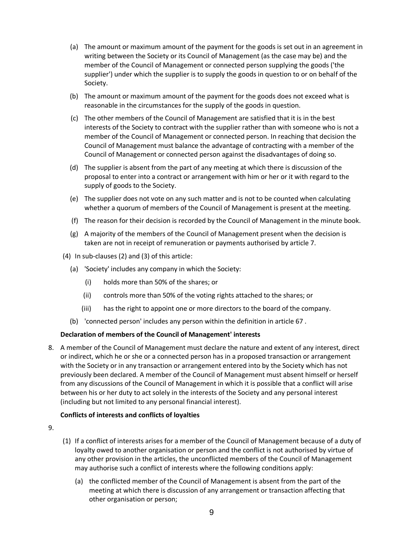- (a) The amount or maximum amount of the payment for the goods is set out in an agreement in writing between the Society or its Council of Management (as the case may be) and the member of the Council of Management or connected person supplying the goods ('the supplier') under which the supplier is to supply the goods in question to or on behalf of the Society.
- (b) The amount or maximum amount of the payment for the goods does not exceed what is reasonable in the circumstances for the supply of the goods in question.
- (c) The other members of the Council of Management are satisfied that it is in the best interests of the Society to contract with the supplier rather than with someone who is not a member of the Council of Management or connected person. In reaching that decision the Council of Management must balance the advantage of contracting with a member of the Council of Management or connected person against the disadvantages of doing so.
- (d) The supplier is absent from the part of any meeting at which there is discussion of the proposal to enter into a contract or arrangement with him or her or it with regard to the supply of goods to the Society.
- (e) The supplier does not vote on any such matter and is not to be counted when calculating whether a quorum of members of the Council of Management is present at the meeting.
- (f) The reason for their decision is recorded by the Council of Management in the minute book.
- (g) A majority of the members of the Council of Management present when the decision is taken are not in receipt of remuneration or payments authorised by article 7.
- (4) In sub-clauses (2) and (3) of this article:
	- (a) 'Society' includes any company in which the Society:
		- (i) holds more than 50% of the shares; or
		- (ii) controls more than 50% of the voting rights attached to the shares; or
		- (iii) has the right to appoint one or more directors to the board of the company.
	- (b) 'connected person' includes any person within the definition in article 67 .

#### **Declaration of members of the Council of Management' interests**

8. A member of the Council of Management must declare the nature and extent of any interest, direct or indirect, which he or she or a connected person has in a proposed transaction or arrangement with the Society or in any transaction or arrangement entered into by the Society which has not previously been declared. A member of the Council of Management must absent himself or herself from any discussions of the Council of Management in which it is possible that a conflict will arise between his or her duty to act solely in the interests of the Society and any personal interest (including but not limited to any personal financial interest).

#### **Conflicts of interests and conflicts of loyalties**

- 9.
- (1) If a conflict of interests arises for a member of the Council of Management because of a duty of loyalty owed to another organisation or person and the conflict is not authorised by virtue of any other provision in the articles, the unconflicted members of the Council of Management may authorise such a conflict of interests where the following conditions apply:
	- (a) the conflicted member of the Council of Management is absent from the part of the meeting at which there is discussion of any arrangement or transaction affecting that other organisation or person;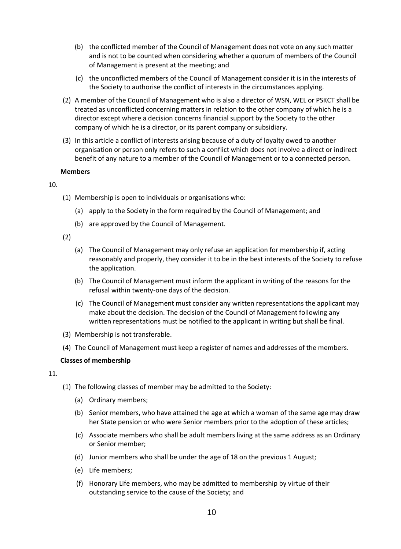- (b) the conflicted member of the Council of Management does not vote on any such matter and is not to be counted when considering whether a quorum of members of the Council of Management is present at the meeting; and
- (c) the unconflicted members of the Council of Management consider it is in the interests of the Society to authorise the conflict of interests in the circumstances applying.
- (2) A member of the Council of Management who is also a director of WSN, WEL or PSKCT shall be treated as unconflicted concerning matters in relation to the other company of which he is a director except where a decision concerns financial support by the Society to the other company of which he is a director, or its parent company or subsidiary.
- (3) In this article a conflict of interests arising because of a duty of loyalty owed to another organisation or person only refers to such a conflict which does not involve a direct or indirect benefit of any nature to a member of the Council of Management or to a connected person.

#### **Members**

#### 10.

- (1) Membership is open to individuals or organisations who:
	- (a) apply to the Society in the form required by the Council of Management; and
	- (b) are approved by the Council of Management.

(2)

- (a) The Council of Management may only refuse an application for membership if, acting reasonably and properly, they consider it to be in the best interests of the Society to refuse the application.
- (b) The Council of Management must inform the applicant in writing of the reasons for the refusal within twenty-one days of the decision.
- (c) The Council of Management must consider any written representations the applicant may make about the decision. The decision of the Council of Management following any written representations must be notified to the applicant in writing but shall be final.
- (3) Membership is not transferable.
- (4) The Council of Management must keep a register of names and addresses of the members.

#### **Classes of membership**

- (1) The following classes of member may be admitted to the Society:
	- (a) Ordinary members;
	- (b) Senior members, who have attained the age at which a woman of the same age may draw her State pension or who were Senior members prior to the adoption of these articles;
	- (c) Associate members who shall be adult members living at the same address as an Ordinary or Senior member;
	- (d) Junior members who shall be under the age of 18 on the previous 1 August;
	- (e) Life members;
	- (f) Honorary Life members, who may be admitted to membership by virtue of their outstanding service to the cause of the Society; and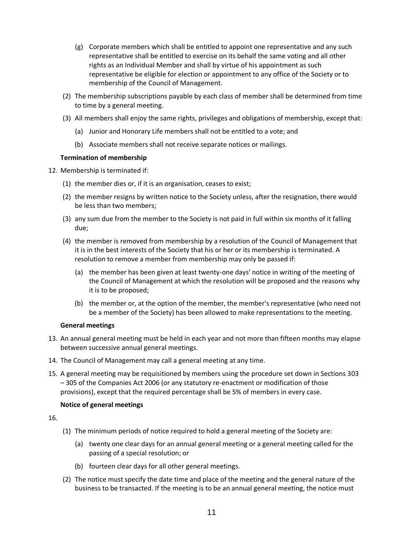- (g) Corporate members which shall be entitled to appoint one representative and any such representative shall be entitled to exercise on its behalf the same voting and all other rights as an Individual Member and shall by virtue of his appointment as such representative be eligible for election or appointment to any office of the Society or to membership of the Council of Management.
- (2) The membership subscriptions payable by each class of member shall be determined from time to time by a general meeting.
- (3) All members shall enjoy the same rights, privileges and obligations of membership, except that:
	- (a) Junior and Honorary Life members shall not be entitled to a vote; and
	- (b) Associate members shall not receive separate notices or mailings.

#### **Termination of membership**

- 12. Membership is terminated if:
	- (1) the member dies or, if it is an organisation, ceases to exist;
	- (2) the member resigns by written notice to the Society unless, after the resignation, there would be less than two members;
	- (3) any sum due from the member to the Society is not paid in full within six months of it falling due;
	- (4) the member is removed from membership by a resolution of the Council of Management that it is in the best interests of the Society that his or her or its membership is terminated. A resolution to remove a member from membership may only be passed if:
		- (a) the member has been given at least twenty-one days' notice in writing of the meeting of the Council of Management at which the resolution will be proposed and the reasons why it is to be proposed;
		- (b) the member or, at the option of the member, the member's representative (who need not be a member of the Society) has been allowed to make representations to the meeting.

#### **General meetings**

- 13. An annual general meeting must be held in each year and not more than fifteen months may elapse between successive annual general meetings.
- 14. The Council of Management may call a general meeting at any time.
- 15. A general meeting may be requisitioned by members using the procedure set down in Sections 303 – 305 of the Companies Act 2006 (or any statutory re-enactment or modification of those provisions), except that the required percentage shall be 5% of members in every case.

#### **Notice of general meetings**

- (1) The minimum periods of notice required to hold a general meeting of the Society are:
	- (a) twenty one clear days for an annual general meeting or a general meeting called for the passing of a special resolution; or
	- (b) fourteen clear days for all other general meetings.
- (2) The notice must specify the date time and place of the meeting and the general nature of the business to be transacted. If the meeting is to be an annual general meeting, the notice must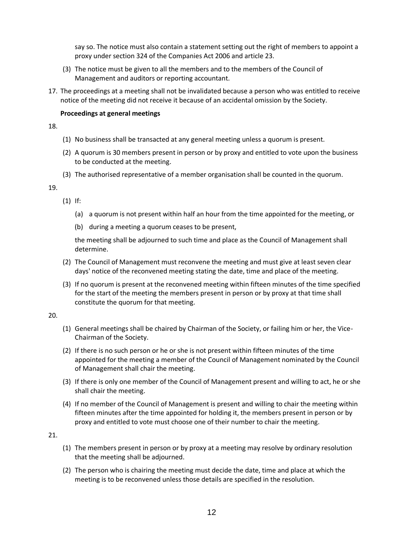say so. The notice must also contain a statement setting out the right of members to appoint a proxy under section 324 of the Companies Act 2006 and article 23.

- (3) The notice must be given to all the members and to the members of the Council of Management and auditors or reporting accountant.
- 17. The proceedings at a meeting shall not be invalidated because a person who was entitled to receive notice of the meeting did not receive it because of an accidental omission by the Society.

#### **Proceedings at general meetings**

18.

- (1) No business shall be transacted at any general meeting unless a quorum is present.
- (2) A quorum is 30 members present in person or by proxy and entitled to vote upon the business to be conducted at the meeting.
- (3) The authorised representative of a member organisation shall be counted in the quorum.

19.

- (1) If:
	- (a) a quorum is not present within half an hour from the time appointed for the meeting, or
	- (b) during a meeting a quorum ceases to be present,

the meeting shall be adjourned to such time and place as the Council of Management shall determine.

- (2) The Council of Management must reconvene the meeting and must give at least seven clear days' notice of the reconvened meeting stating the date, time and place of the meeting.
- (3) If no quorum is present at the reconvened meeting within fifteen minutes of the time specified for the start of the meeting the members present in person or by proxy at that time shall constitute the quorum for that meeting.

20.

- (1) General meetings shall be chaired by Chairman of the Society, or failing him or her, the Vice-Chairman of the Society.
- (2) If there is no such person or he or she is not present within fifteen minutes of the time appointed for the meeting a member of the Council of Management nominated by the Council of Management shall chair the meeting.
- (3) If there is only one member of the Council of Management present and willing to act, he or she shall chair the meeting.
- (4) If no member of the Council of Management is present and willing to chair the meeting within fifteen minutes after the time appointed for holding it, the members present in person or by proxy and entitled to vote must choose one of their number to chair the meeting.

- (1) The members present in person or by proxy at a meeting may resolve by ordinary resolution that the meeting shall be adjourned.
- (2) The person who is chairing the meeting must decide the date, time and place at which the meeting is to be reconvened unless those details are specified in the resolution.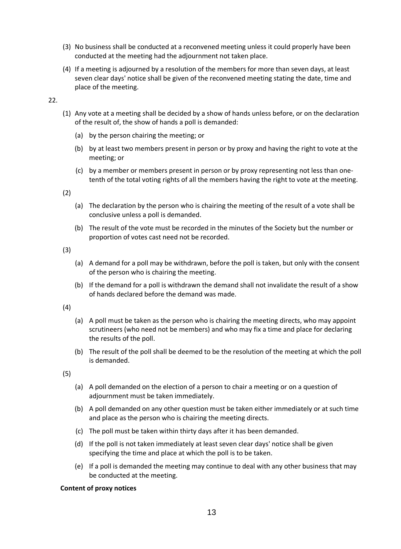- (3) No business shall be conducted at a reconvened meeting unless it could properly have been conducted at the meeting had the adjournment not taken place.
- (4) If a meeting is adjourned by a resolution of the members for more than seven days, at least seven clear days' notice shall be given of the reconvened meeting stating the date, time and place of the meeting.

22.

- (1) Any vote at a meeting shall be decided by a show of hands unless before, or on the declaration of the result of, the show of hands a poll is demanded:
	- (a) by the person chairing the meeting; or
	- (b) by at least two members present in person or by proxy and having the right to vote at the meeting; or
	- (c) by a member or members present in person or by proxy representing not less than onetenth of the total voting rights of all the members having the right to vote at the meeting.

(2)

- (a) The declaration by the person who is chairing the meeting of the result of a vote shall be conclusive unless a poll is demanded.
- (b) The result of the vote must be recorded in the minutes of the Society but the number or proportion of votes cast need not be recorded.

(3)

- (a) A demand for a poll may be withdrawn, before the poll is taken, but only with the consent of the person who is chairing the meeting.
- (b) If the demand for a poll is withdrawn the demand shall not invalidate the result of a show of hands declared before the demand was made.

(4)

- (a) A poll must be taken as the person who is chairing the meeting directs, who may appoint scrutineers (who need not be members) and who may fix a time and place for declaring the results of the poll.
- (b) The result of the poll shall be deemed to be the resolution of the meeting at which the poll is demanded.

(5)

- (a) A poll demanded on the election of a person to chair a meeting or on a question of adjournment must be taken immediately.
- (b) A poll demanded on any other question must be taken either immediately or at such time and place as the person who is chairing the meeting directs.
- (c) The poll must be taken within thirty days after it has been demanded.
- (d) If the poll is not taken immediately at least seven clear days' notice shall be given specifying the time and place at which the poll is to be taken.
- (e) If a poll is demanded the meeting may continue to deal with any other business that may be conducted at the meeting.

#### **Content of proxy notices**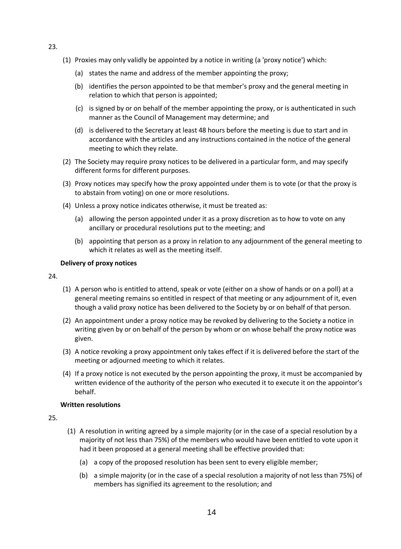- (1) Proxies may only validly be appointed by a notice in writing (a 'proxy notice') which:
	- (a) states the name and address of the member appointing the proxy;
	- (b) identifies the person appointed to be that member's proxy and the general meeting in relation to which that person is appointed;
	- (c) is signed by or on behalf of the member appointing the proxy, or is authenticated in such manner as the Council of Management may determine; and
	- (d) is delivered to the Secretary at least 48 hours before the meeting is due to start and in accordance with the articles and any instructions contained in the notice of the general meeting to which they relate.
- (2) The Society may require proxy notices to be delivered in a particular form, and may specify different forms for different purposes.
- (3) Proxy notices may specify how the proxy appointed under them is to vote (or that the proxy is to abstain from voting) on one or more resolutions.
- (4) Unless a proxy notice indicates otherwise, it must be treated as:
	- (a) allowing the person appointed under it as a proxy discretion as to how to vote on any ancillary or procedural resolutions put to the meeting; and
	- (b) appointing that person as a proxy in relation to any adjournment of the general meeting to which it relates as well as the meeting itself.

#### **Delivery of proxy notices**

#### 24.

- (1) A person who is entitled to attend, speak or vote (either on a show of hands or on a poll) at a general meeting remains so entitled in respect of that meeting or any adjournment of it, even though a valid proxy notice has been delivered to the Society by or on behalf of that person.
- (2) An appointment under a proxy notice may be revoked by delivering to the Society a notice in writing given by or on behalf of the person by whom or on whose behalf the proxy notice was given.
- (3) A notice revoking a proxy appointment only takes effect if it is delivered before the start of the meeting or adjourned meeting to which it relates.
- (4) If a proxy notice is not executed by the person appointing the proxy, it must be accompanied by written evidence of the authority of the person who executed it to execute it on the appointor's behalf.

#### **Written resolutions**

- (1) A resolution in writing agreed by a simple majority (or in the case of a special resolution by a majority of not less than 75%) of the members who would have been entitled to vote upon it had it been proposed at a general meeting shall be effective provided that:
	- (a) a copy of the proposed resolution has been sent to every eligible member;
	- (b) a simple majority (or in the case of a special resolution a majority of not less than 75%) of members has signified its agreement to the resolution; and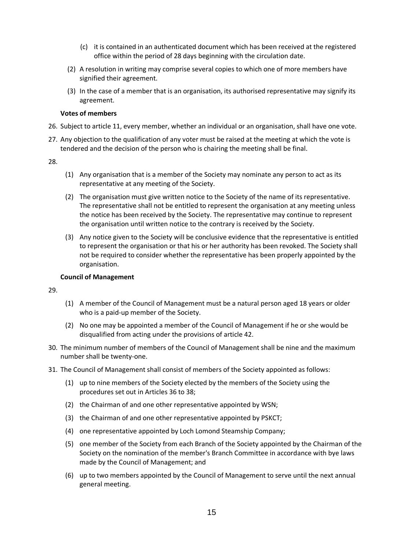- (c) it is contained in an authenticated document which has been received at the registered office within the period of 28 days beginning with the circulation date.
- (2) A resolution in writing may comprise several copies to which one of more members have signified their agreement.
- (3) In the case of a member that is an organisation, its authorised representative may signify its agreement.

#### **Votes of members**

- 26. Subject to article 11, every member, whether an individual or an organisation, shall have one vote.
- 27. Any objection to the qualification of any voter must be raised at the meeting at which the vote is tendered and the decision of the person who is chairing the meeting shall be final.

28.

- (1) Any organisation that is a member of the Society may nominate any person to act as its representative at any meeting of the Society.
- (2) The organisation must give written notice to the Society of the name of its representative. The representative shall not be entitled to represent the organisation at any meeting unless the notice has been received by the Society. The representative may continue to represent the organisation until written notice to the contrary is received by the Society.
- (3) Any notice given to the Society will be conclusive evidence that the representative is entitled to represent the organisation or that his or her authority has been revoked. The Society shall not be required to consider whether the representative has been properly appointed by the organisation.

#### **Council of Management**

- (1) A member of the Council of Management must be a natural person aged 18 years or older who is a paid-up member of the Society.
- (2) No one may be appointed a member of the Council of Management if he or she would be disqualified from acting under the provisions of article 42.
- 30. The minimum number of members of the Council of Management shall be nine and the maximum number shall be twenty-one.
- 31. The Council of Management shall consist of members of the Society appointed as follows:
	- (1) up to nine members of the Society elected by the members of the Society using the procedures set out in Articles 36 to 38;
	- (2) the Chairman of and one other representative appointed by WSN;
	- (3) the Chairman of and one other representative appointed by PSKCT;
	- (4) one representative appointed by Loch Lomond Steamship Company;
	- (5) one member of the Society from each Branch of the Society appointed by the Chairman of the Society on the nomination of the member's Branch Committee in accordance with bye laws made by the Council of Management; and
	- (6) up to two members appointed by the Council of Management to serve until the next annual general meeting.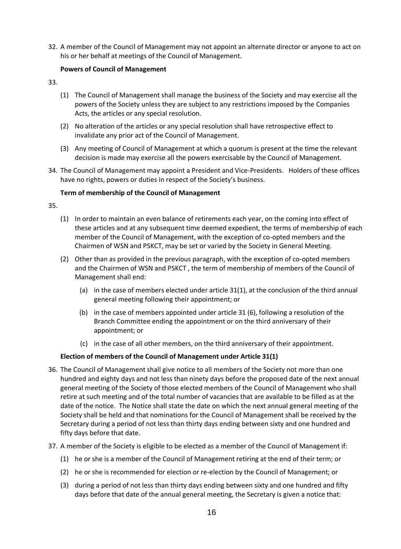32. A member of the Council of Management may not appoint an alternate director or anyone to act on his or her behalf at meetings of the Council of Management.

#### **Powers of Council of Management**

- 33.
- (1) The Council of Management shall manage the business of the Society and may exercise all the powers of the Society unless they are subject to any restrictions imposed by the Companies Acts, the articles or any special resolution.
- (2) No alteration of the articles or any special resolution shall have retrospective effect to invalidate any prior act of the Council of Management.
- (3) Any meeting of Council of Management at which a quorum is present at the time the relevant decision is made may exercise all the powers exercisable by the Council of Management.
- 34. The Council of Management may appoint a President and Vice-Presidents. Holders of these offices have no rights, powers or duties in respect of the Society's business.

#### **Term of membership of the Council of Management**

- 35.
- (1) In order to maintain an even balance of retirements each year, on the coming into effect of these articles and at any subsequent time deemed expedient, the terms of membership of each member of the Council of Management, with the exception of co-opted members and the Chairmen of WSN and PSKCT, may be set or varied by the Society in General Meeting.
- (2) Other than as provided in the previous paragraph, with the exception of co-opted members and the Chairmen of WSN and PSKCT , the term of membership of members of the Council of Management shall end:
	- (a) in the case of members elected under article 31(1), at the conclusion of the third annual general meeting following their appointment; or
	- (b) in the case of members appointed under article 31 (6), following a resolution of the Branch Committee ending the appointment or on the third anniversary of their appointment; or
	- (c) in the case of all other members, on the third anniversary of their appointment.

#### **Election of members of the Council of Management under Article 31(1)**

- 36. The Council of Management shall give notice to all members of the Society not more than one hundred and eighty days and not less than ninety days before the proposed date of the next annual general meeting of the Society of those elected members of the Council of Management who shall retire at such meeting and of the total number of vacancies that are available to be filled as at the date of the notice. The Notice shall state the date on which the next annual general meeting of the Society shall be held and that nominations for the Council of Management shall be received by the Secretary during a period of not less than thirty days ending between sixty and one hundred and fifty days before that date.
- 37. A member of the Society is eligible to be elected as a member of the Council of Management if:
	- (1) he or she is a member of the Council of Management retiring at the end of their term; or
	- (2) he or she is recommended for election or re-election by the Council of Management; or
	- (3) during a period of not less than thirty days ending between sixty and one hundred and fifty days before that date of the annual general meeting, the Secretary is given a notice that: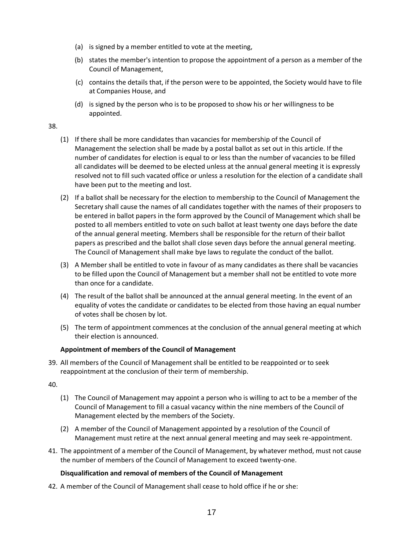- (a) is signed by a member entitled to vote at the meeting,
- (b) states the member's intention to propose the appointment of a person as a member of the Council of Management,
- (c) contains the details that, if the person were to be appointed, the Society would have to file at Companies House, and
- (d) is signed by the person who is to be proposed to show his or her willingness to be appointed.

#### 38.

- (1) If there shall be more candidates than vacancies for membership of the Council of Management the selection shall be made by a postal ballot as set out in this article. If the number of candidates for election is equal to or less than the number of vacancies to be filled all candidates will be deemed to be elected unless at the annual general meeting it is expressly resolved not to fill such vacated office or unless a resolution for the election of a candidate shall have been put to the meeting and lost.
- (2) If a ballot shall be necessary for the election to membership to the Council of Management the Secretary shall cause the names of all candidates together with the names of their proposers to be entered in ballot papers in the form approved by the Council of Management which shall be posted to all members entitled to vote on such ballot at least twenty one days before the date of the annual general meeting. Members shall be responsible for the return of their ballot papers as prescribed and the ballot shall close seven days before the annual general meeting. The Council of Management shall make bye laws to regulate the conduct of the ballot.
- (3) A Member shall be entitled to vote in favour of as many candidates as there shall be vacancies to be filled upon the Council of Management but a member shall not be entitled to vote more than once for a candidate.
- (4) The result of the ballot shall be announced at the annual general meeting. In the event of an equality of votes the candidate or candidates to be elected from those having an equal number of votes shall be chosen by lot.
- (5) The term of appointment commences at the conclusion of the annual general meeting at which their election is announced.

#### **Appointment of members of the Council of Management**

39. All members of the Council of Management shall be entitled to be reappointed or to seek reappointment at the conclusion of their term of membership.

40.

- (1) The Council of Management may appoint a person who is willing to act to be a member of the Council of Management to fill a casual vacancy within the nine members of the Council of Management elected by the members of the Society.
- (2) A member of the Council of Management appointed by a resolution of the Council of Management must retire at the next annual general meeting and may seek re-appointment.
- 41. The appointment of a member of the Council of Management, by whatever method, must not cause the number of members of the Council of Management to exceed twenty-one.

#### **Disqualification and removal of members of the Council of Management**

42. A member of the Council of Management shall cease to hold office if he or she: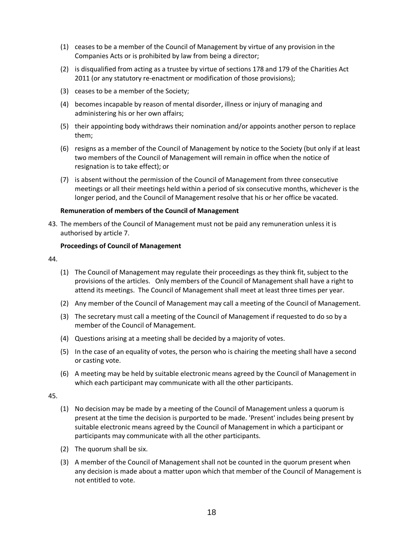- (1) ceases to be a member of the Council of Management by virtue of any provision in the Companies Acts or is prohibited by law from being a director;
- (2) is disqualified from acting as a trustee by virtue of sections 178 and 179 of the Charities Act 2011 (or any statutory re-enactment or modification of those provisions);
- (3) ceases to be a member of the Society;
- (4) becomes incapable by reason of mental disorder, illness or injury of managing and administering his or her own affairs;
- (5) their appointing body withdraws their nomination and/or appoints another person to replace them;
- (6) resigns as a member of the Council of Management by notice to the Society (but only if at least two members of the Council of Management will remain in office when the notice of resignation is to take effect); or
- (7) is absent without the permission of the Council of Management from three consecutive meetings or all their meetings held within a period of six consecutive months, whichever is the longer period, and the Council of Management resolve that his or her office be vacated.

#### **Remuneration of members of the Council of Management**

43. The members of the Council of Management must not be paid any remuneration unless it is authorised by article 7.

#### **Proceedings of Council of Management**

44.

- (1) The Council of Management may regulate their proceedings as they think fit, subject to the provisions of the articles. Only members of the Council of Management shall have a right to attend its meetings. The Council of Management shall meet at least three times per year.
- (2) Any member of the Council of Management may call a meeting of the Council of Management.
- (3) The secretary must call a meeting of the Council of Management if requested to do so by a member of the Council of Management.
- (4) Questions arising at a meeting shall be decided by a majority of votes.
- (5) In the case of an equality of votes, the person who is chairing the meeting shall have a second or casting vote.
- (6) A meeting may be held by suitable electronic means agreed by the Council of Management in which each participant may communicate with all the other participants.

- (1) No decision may be made by a meeting of the Council of Management unless a quorum is present at the time the decision is purported to be made. 'Present' includes being present by suitable electronic means agreed by the Council of Management in which a participant or participants may communicate with all the other participants.
- (2) The quorum shall be six.
- (3) A member of the Council of Management shall not be counted in the quorum present when any decision is made about a matter upon which that member of the Council of Management is not entitled to vote.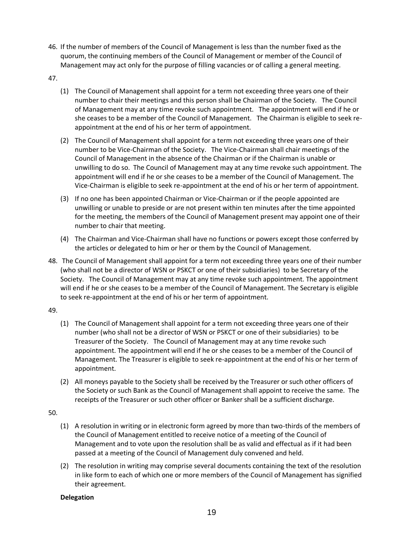- 46. If the number of members of the Council of Management is less than the number fixed as the quorum, the continuing members of the Council of Management or member of the Council of Management may act only for the purpose of filling vacancies or of calling a general meeting.
- 47.
- (1) The Council of Management shall appoint for a term not exceeding three years one of their number to chair their meetings and this person shall be Chairman of the Society. The Council of Management may at any time revoke such appointment. The appointment will end if he or she ceases to be a member of the Council of Management. The Chairman is eligible to seek reappointment at the end of his or her term of appointment.
- (2) The Council of Management shall appoint for a term not exceeding three years one of their number to be Vice-Chairman of the Society. The Vice-Chairman shall chair meetings of the Council of Management in the absence of the Chairman or if the Chairman is unable or unwilling to do so. The Council of Management may at any time revoke such appointment. The appointment will end if he or she ceases to be a member of the Council of Management. The Vice-Chairman is eligible to seek re-appointment at the end of his or her term of appointment.
- (3) If no one has been appointed Chairman or Vice-Chairman or if the people appointed are unwilling or unable to preside or are not present within ten minutes after the time appointed for the meeting, the members of the Council of Management present may appoint one of their number to chair that meeting.
- (4) The Chairman and Vice-Chairman shall have no functions or powers except those conferred by the articles or delegated to him or her or them by the Council of Management.
- 48. The Council of Management shall appoint for a term not exceeding three years one of their number (who shall not be a director of WSN or PSKCT or one of their subsidiaries) to be Secretary of the Society. The Council of Management may at any time revoke such appointment. The appointment will end if he or she ceases to be a member of the Council of Management. The Secretary is eligible to seek re-appointment at the end of his or her term of appointment.

#### 49.

- (1) The Council of Management shall appoint for a term not exceeding three years one of their number (who shall not be a director of WSN or PSKCT or one of their subsidiaries) to be Treasurer of the Society. The Council of Management may at any time revoke such appointment. The appointment will end if he or she ceases to be a member of the Council of Management. The Treasurer is eligible to seek re-appointment at the end of his or her term of appointment.
- (2) All moneys payable to the Society shall be received by the Treasurer or such other officers of the Society or such Bank as the Council of Management shall appoint to receive the same. The receipts of the Treasurer or such other officer or Banker shall be a sufficient discharge.

#### 50.

- (1) A resolution in writing or in electronic form agreed by more than two-thirds of the members of the Council of Management entitled to receive notice of a meeting of the Council of Management and to vote upon the resolution shall be as valid and effectual as if it had been passed at a meeting of the Council of Management duly convened and held.
- (2) The resolution in writing may comprise several documents containing the text of the resolution in like form to each of which one or more members of the Council of Management has signified their agreement.

#### **Delegation**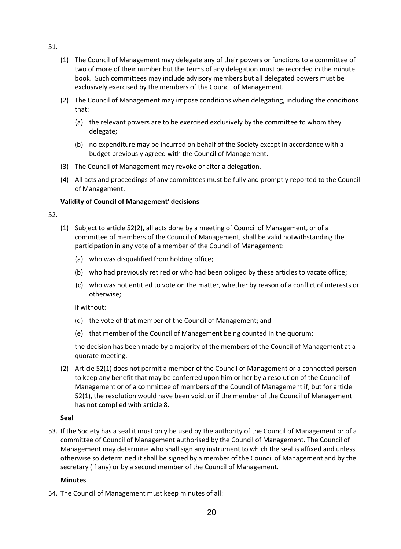- 51.
- (1) The Council of Management may delegate any of their powers or functions to a committee of two of more of their number but the terms of any delegation must be recorded in the minute book. Such committees may include advisory members but all delegated powers must be exclusively exercised by the members of the Council of Management.
- (2) The Council of Management may impose conditions when delegating, including the conditions that:
	- (a) the relevant powers are to be exercised exclusively by the committee to whom they delegate;
	- (b) no expenditure may be incurred on behalf of the Society except in accordance with a budget previously agreed with the Council of Management.
- (3) The Council of Management may revoke or alter a delegation.
- (4) All acts and proceedings of any committees must be fully and promptly reported to the Council of Management.

### **Validity of Council of Management' decisions**

- 52.
- (1) Subject to article 52(2), all acts done by a meeting of Council of Management, or of a committee of members of the Council of Management, shall be valid notwithstanding the participation in any vote of a member of the Council of Management:
	- (a) who was disqualified from holding office;
	- (b) who had previously retired or who had been obliged by these articles to vacate office;
	- (c) who was not entitled to vote on the matter, whether by reason of a conflict of interests or otherwise;

if without:

- (d) the vote of that member of the Council of Management; and
- (e) that member of the Council of Management being counted in the quorum;

the decision has been made by a majority of the members of the Council of Management at a quorate meeting.

(2) Article 52(1) does not permit a member of the Council of Management or a connected person to keep any benefit that may be conferred upon him or her by a resolution of the Council of Management or of a committee of members of the Council of Management if, but for article 52(1), the resolution would have been void, or if the member of the Council of Management has not complied with article 8.

### **Seal**

53. If the Society has a seal it must only be used by the authority of the Council of Management or of a committee of Council of Management authorised by the Council of Management. The Council of Management may determine who shall sign any instrument to which the seal is affixed and unless otherwise so determined it shall be signed by a member of the Council of Management and by the secretary (if any) or by a second member of the Council of Management.

### **Minutes**

54. The Council of Management must keep minutes of all: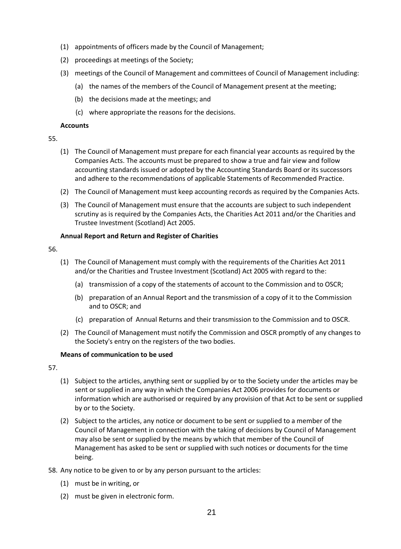- (1) appointments of officers made by the Council of Management;
- (2) proceedings at meetings of the Society;
- (3) meetings of the Council of Management and committees of Council of Management including:
	- (a) the names of the members of the Council of Management present at the meeting;
	- (b) the decisions made at the meetings; and
	- (c) where appropriate the reasons for the decisions.

#### **Accounts**

#### 55.

- (1) The Council of Management must prepare for each financial year accounts as required by the Companies Acts. The accounts must be prepared to show a true and fair view and follow accounting standards issued or adopted by the Accounting Standards Board or its successors and adhere to the recommendations of applicable Statements of Recommended Practice.
- (2) The Council of Management must keep accounting records as required by the Companies Acts.
- (3) The Council of Management must ensure that the accounts are subject to such independent scrutiny as is required by the Companies Acts, the Charities Act 2011 and/or the Charities and Trustee Investment (Scotland) Act 2005.

#### **Annual Report and Return and Register of Charities**

56.

- (1) The Council of Management must comply with the requirements of the Charities Act 2011 and/or the Charities and Trustee Investment (Scotland) Act 2005 with regard to the:
	- (a) transmission of a copy of the statements of account to the Commission and to OSCR;
	- (b) preparation of an Annual Report and the transmission of a copy of it to the Commission and to OSCR; and
	- (c) preparation of Annual Returns and their transmission to the Commission and to OSCR.
- (2) The Council of Management must notify the Commission and OSCR promptly of any changes to the Society's entry on the registers of the two bodies.

#### **Means of communication to be used**

- (1) Subject to the articles, anything sent or supplied by or to the Society under the articles may be sent or supplied in any way in which the Companies Act 2006 provides for documents or information which are authorised or required by any provision of that Act to be sent or supplied by or to the Society.
- (2) Subject to the articles, any notice or document to be sent or supplied to a member of the Council of Management in connection with the taking of decisions by Council of Management may also be sent or supplied by the means by which that member of the Council of Management has asked to be sent or supplied with such notices or documents for the time being.
- 58. Any notice to be given to or by any person pursuant to the articles:
	- (1) must be in writing, or
	- (2) must be given in electronic form.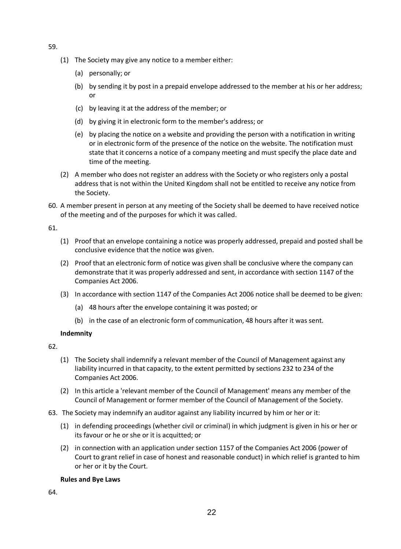- 59.
- (1) The Society may give any notice to a member either:
	- (a) personally; or
	- (b) by sending it by post in a prepaid envelope addressed to the member at his or her address; or
	- (c) by leaving it at the address of the member; or
	- (d) by giving it in electronic form to the member's address; or
	- (e) by placing the notice on a website and providing the person with a notification in writing or in electronic form of the presence of the notice on the website. The notification must state that it concerns a notice of a company meeting and must specify the place date and time of the meeting.
- (2) A member who does not register an address with the Society or who registers only a postal address that is not within the United Kingdom shall not be entitled to receive any notice from the Society.
- 60. A member present in person at any meeting of the Society shall be deemed to have received notice of the meeting and of the purposes for which it was called.

61.

- (1) Proof that an envelope containing a notice was properly addressed, prepaid and posted shall be conclusive evidence that the notice was given.
- (2) Proof that an electronic form of notice was given shall be conclusive where the company can demonstrate that it was properly addressed and sent, in accordance with section 1147 of the Companies Act 2006.
- (3) In accordance with section 1147 of the Companies Act 2006 notice shall be deemed to be given:
	- (a) 48 hours after the envelope containing it was posted; or
	- (b) in the case of an electronic form of communication, 48 hours after it was sent.

#### **Indemnity**

62.

- (1) The Society shall indemnify a relevant member of the Council of Management against any liability incurred in that capacity, to the extent permitted by sections 232 to 234 of the Companies Act 2006.
- (2) In this article a 'relevant member of the Council of Management' means any member of the Council of Management or former member of the Council of Management of the Society.
- 63. The Society may indemnify an auditor against any liability incurred by him or her or it:
	- (1) in defending proceedings (whether civil or criminal) in which judgment is given in his or her or its favour or he or she or it is acquitted; or
	- (2) in connection with an application under section 1157 of the Companies Act 2006 (power of Court to grant relief in case of honest and reasonable conduct) in which relief is granted to him or her or it by the Court.

#### **Rules and Bye Laws**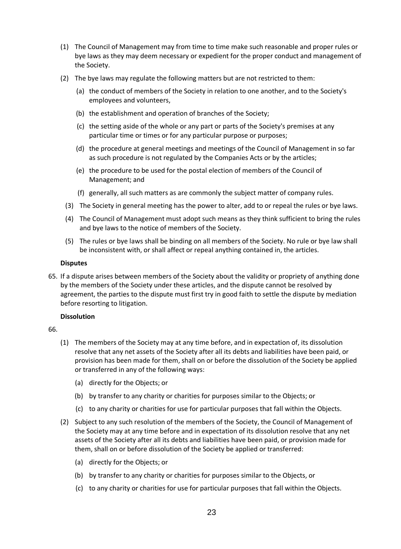- (1) The Council of Management may from time to time make such reasonable and proper rules or bye laws as they may deem necessary or expedient for the proper conduct and management of the Society.
- (2) The bye laws may regulate the following matters but are not restricted to them:
	- (a) the conduct of members of the Society in relation to one another, and to the Society's employees and volunteers,
	- (b) the establishment and operation of branches of the Society;
	- (c) the setting aside of the whole or any part or parts of the Society's premises at any particular time or times or for any particular purpose or purposes;
	- (d) the procedure at general meetings and meetings of the Council of Management in so far as such procedure is not regulated by the Companies Acts or by the articles;
	- (e) the procedure to be used for the postal election of members of the Council of Management; and
	- (f) generally, all such matters as are commonly the subject matter of company rules.
	- (3) The Society in general meeting has the power to alter, add to or repeal the rules or bye laws.
	- (4) The Council of Management must adopt such means as they think sufficient to bring the rules and bye laws to the notice of members of the Society.
	- (5) The rules or bye laws shall be binding on all members of the Society. No rule or bye law shall be inconsistent with, or shall affect or repeal anything contained in, the articles.

#### **Disputes**

65. If a dispute arises between members of the Society about the validity or propriety of anything done by the members of the Society under these articles, and the dispute cannot be resolved by agreement, the parties to the dispute must first try in good faith to settle the dispute by mediation before resorting to litigation.

#### **Dissolution**

- (1) The members of the Society may at any time before, and in expectation of, its dissolution resolve that any net assets of the Society after all its debts and liabilities have been paid, or provision has been made for them, shall on or before the dissolution of the Society be applied or transferred in any of the following ways:
	- (a) directly for the Objects; or
	- (b) by transfer to any charity or charities for purposes similar to the Objects; or
	- (c) to any charity or charities for use for particular purposes that fall within the Objects.
- (2) Subject to any such resolution of the members of the Society, the Council of Management of the Society may at any time before and in expectation of its dissolution resolve that any net assets of the Society after all its debts and liabilities have been paid, or provision made for them, shall on or before dissolution of the Society be applied or transferred:
	- (a) directly for the Objects; or
	- (b) by transfer to any charity or charities for purposes similar to the Objects, or
	- (c) to any charity or charities for use for particular purposes that fall within the Objects.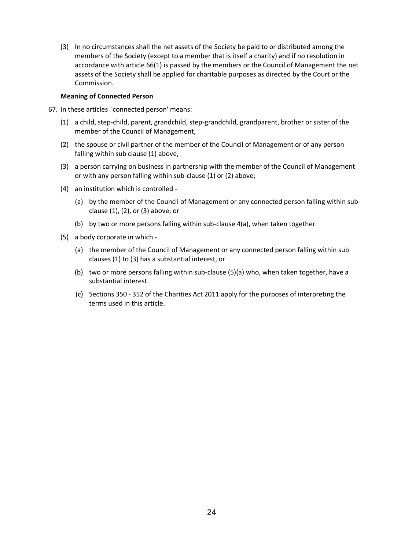(3) In no circumstances shall the net assets of the Society be paid to or distributed among the members of the Society (except to a member that is itself a charity) and if no resolution in accordance with article 66(1) is passed by the members or the Council of Management the net assets of the Society shall be applied for charitable purposes as directed by the Court or the Commission.

#### **Meaning of Connected Person**

- 67. In these articles 'connected person' means:
	- (1) a child, step-child, parent, grandchild, step-grandchild, grandparent, brother or sister of the member of the Council of Management,
	- (2) the spouse or civil partner of the member of the Council of Management or of any person falling within sub clause (1) above,
	- (3) a person carrying on business in partnership with the member of the Council of Management or with any person falling within sub-clause (1) or (2) above;
	- (4) an institution which is controlled
		- (a) by the member of the Council of Management or any connected person falling within subclause (1), (2), or (3) above; or
		- (b) by two or more persons falling within sub-clause 4(a), when taken together
	- (5) a body corporate in which
		- (a) the member of the Council of Management or any connected person falling within sub clauses (1) to (3) has a substantial interest, or
		- (b) two or more persons falling within sub-clause (5)(a) who, when taken together, have a substantial interest.
		- (c) Sections 350 352 of the Charities Act 2011 apply for the purposes of interpreting the terms used in this article.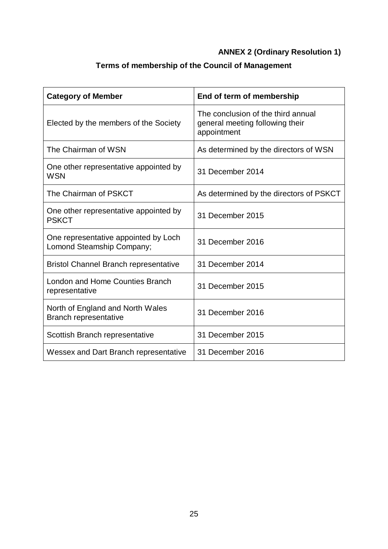# **ANNEX 2 (Ordinary Resolution 1)**

# **Terms of membership of the Council of Management**

| <b>Category of Member</b>                                         | End of term of membership                                                            |
|-------------------------------------------------------------------|--------------------------------------------------------------------------------------|
| Elected by the members of the Society                             | The conclusion of the third annual<br>general meeting following their<br>appointment |
| The Chairman of WSN                                               | As determined by the directors of WSN                                                |
| One other representative appointed by<br><b>WSN</b>               | 31 December 2014                                                                     |
| The Chairman of PSKCT                                             | As determined by the directors of PSKCT                                              |
| One other representative appointed by<br><b>PSKCT</b>             | 31 December 2015                                                                     |
| One representative appointed by Loch<br>Lomond Steamship Company; | 31 December 2016                                                                     |
| <b>Bristol Channel Branch representative</b>                      | 31 December 2014                                                                     |
| <b>London and Home Counties Branch</b><br>representative          | 31 December 2015                                                                     |
| North of England and North Wales<br>Branch representative         | 31 December 2016                                                                     |
| Scottish Branch representative                                    | 31 December 2015                                                                     |
| Wessex and Dart Branch representative                             | 31 December 2016                                                                     |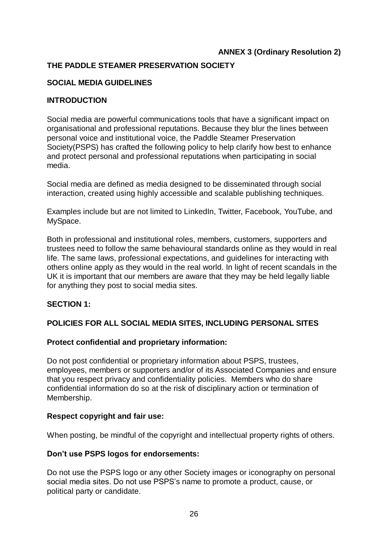# **ANNEX 3 (Ordinary Resolution 2)**

# **THE PADDLE STEAMER PRESERVATION SOCIETY**

# **SOCIAL MEDIA GUIDELINES**

# **INTRODUCTION**

Social media are powerful communications tools that have a significant impact on organisational and professional reputations. Because they blur the lines between personal voice and institutional voice, the Paddle Steamer Preservation Society(PSPS) has crafted the following policy to help clarify how best to enhance and protect personal and professional reputations when participating in social media.

Social media are defined as media designed to be disseminated through social interaction, created using highly accessible and scalable publishing techniques.

Examples include but are not limited to LinkedIn, Twitter, Facebook, YouTube, and MySpace.

Both in professional and institutional roles, members, customers, supporters and trustees need to follow the same behavioural standards online as they would in real life. The same laws, professional expectations, and guidelines for interacting with others online apply as they would in the real world. In light of recent scandals in the UK it is important that our members are aware that they may be held legally liable for anything they post to social media sites.

# **SECTION 1:**

# **POLICIES FOR ALL SOCIAL MEDIA SITES, INCLUDING PERSONAL SITES**

# **Protect confidential and proprietary information:**

Do not post confidential or proprietary information about PSPS, trustees, employees, members or supporters and/or of its Associated Companies and ensure that you respect privacy and confidentiality policies. Members who do share confidential information do so at the risk of disciplinary action or termination of Membership.

# **Respect copyright and fair use:**

When posting, be mindful of the copyright and intellectual property rights of others.

# **Don't use PSPS logos for endorsements:**

Do not use the PSPS logo or any other Society images or iconography on personal social media sites. Do not use PSPS's name to promote a product, cause, or political party or candidate.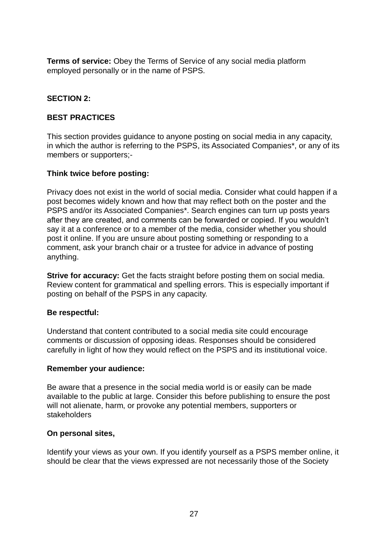**Terms of service:** Obey the Terms of Service of any social media platform employed personally or in the name of PSPS.

# **SECTION 2:**

# **BEST PRACTICES**

This section provides guidance to anyone posting on social media in any capacity, in which the author is referring to the PSPS, its Associated Companies\*, or any of its members or supporters;-

# **Think twice before posting:**

Privacy does not exist in the world of social media. Consider what could happen if a post becomes widely known and how that may reflect both on the poster and the PSPS and/or its Associated Companies\*. Search engines can turn up posts years after they are created, and comments can be forwarded or copied. If you wouldn't say it at a conference or to a member of the media, consider whether you should post it online. If you are unsure about posting something or responding to a comment, ask your branch chair or a trustee for advice in advance of posting anything.

**Strive for accuracy:** Get the facts straight before posting them on social media. Review content for grammatical and spelling errors. This is especially important if posting on behalf of the PSPS in any capacity.

# **Be respectful:**

Understand that content contributed to a social media site could encourage comments or discussion of opposing ideas. Responses should be considered carefully in light of how they would reflect on the PSPS and its institutional voice.

# **Remember your audience:**

Be aware that a presence in the social media world is or easily can be made available to the public at large. Consider this before publishing to ensure the post will not alienate, harm, or provoke any potential members, supporters or stakeholders

# **On personal sites,**

Identify your views as your own. If you identify yourself as a PSPS member online, it should be clear that the views expressed are not necessarily those of the Society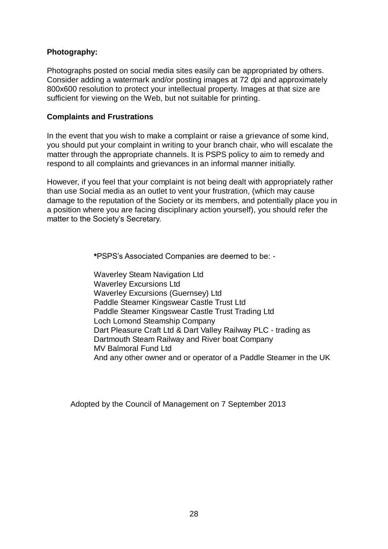# **Photography:**

Photographs posted on social media sites easily can be appropriated by others. Consider adding a watermark and/or posting images at 72 dpi and approximately 800x600 resolution to protect your intellectual property. Images at that size are sufficient for viewing on the Web, but not suitable for printing.

# **Complaints and Frustrations**

In the event that you wish to make a complaint or raise a grievance of some kind, you should put your complaint in writing to your branch chair, who will escalate the matter through the appropriate channels. It is PSPS policy to aim to remedy and respond to all complaints and grievances in an informal manner initially.

However, if you feel that your complaint is not being dealt with appropriately rather than use Social media as an outlet to vent your frustration, (which may cause damage to the reputation of the Society or its members, and potentially place you in a position where you are facing disciplinary action yourself), you should refer the matter to the Society's Secretary.

**\***PSPS's Associated Companies are deemed to be: -

Waverley Steam Navigation Ltd Waverley Excursions Ltd Waverley Excursions (Guernsey) Ltd Paddle Steamer Kingswear Castle Trust Ltd Paddle Steamer Kingswear Castle Trust Trading Ltd Loch Lomond Steamship Company Dart Pleasure Craft Ltd & Dart Valley Railway PLC - trading as Dartmouth Steam Railway and River boat Company MV Balmoral Fund Ltd And any other owner and or operator of a Paddle Steamer in the UK

Adopted by the Council of Management on 7 September 2013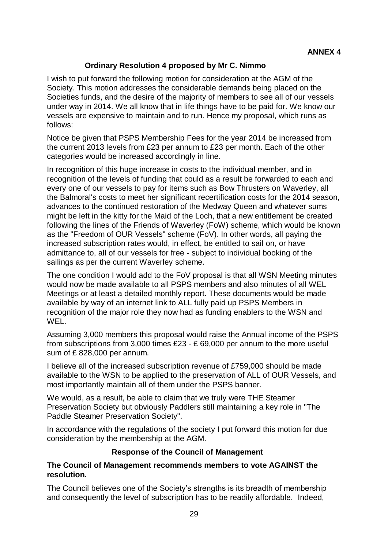# **Ordinary Resolution 4 proposed by Mr C. Nimmo**

I wish to put forward the following motion for consideration at the AGM of the Society. This motion addresses the considerable demands being placed on the Societies funds, and the desire of the majority of members to see all of our vessels under way in 2014. We all know that in life things have to be paid for. We know our vessels are expensive to maintain and to run. Hence my proposal, which runs as follows:

Notice be given that PSPS Membership Fees for the year 2014 be increased from the current 2013 levels from £23 per annum to £23 per month. Each of the other categories would be increased accordingly in line.

In recognition of this huge increase in costs to the individual member, and in recognition of the levels of funding that could as a result be forwarded to each and every one of our vessels to pay for items such as Bow Thrusters on Waverley, all the Balmoral's costs to meet her significant recertification costs for the 2014 season, advances to the continued restoration of the Medway Queen and whatever sums might be left in the kitty for the Maid of the Loch, that a new entitlement be created following the lines of the Friends of Waverley (FoW) scheme, which would be known as the "Freedom of OUR Vessels" scheme (FoV). In other words, all paying the increased subscription rates would, in effect, be entitled to sail on, or have admittance to, all of our vessels for free - subject to individual booking of the sailings as per the current Waverley scheme.

The one condition I would add to the FoV proposal is that all WSN Meeting minutes would now be made available to all PSPS members and also minutes of all WEL Meetings or at least a detailed monthly report. These documents would be made available by way of an internet link to ALL fully paid up PSPS Members in recognition of the major role they now had as funding enablers to the WSN and WEL.

Assuming 3,000 members this proposal would raise the Annual income of the PSPS from subscriptions from 3,000 times £23 - £ 69,000 per annum to the more useful sum of £ 828,000 per annum.

I believe all of the increased subscription revenue of £759,000 should be made available to the WSN to be applied to the preservation of ALL of OUR Vessels, and most importantly maintain all of them under the PSPS banner.

We would, as a result, be able to claim that we truly were THE Steamer Preservation Society but obviously Paddlers still maintaining a key role in "The Paddle Steamer Preservation Society".

In accordance with the regulations of the society I put forward this motion for due consideration by the membership at the AGM.

# **Response of the Council of Management**

# **The Council of Management recommends members to vote AGAINST the resolution.**

The Council believes one of the Society's strengths is its breadth of membership and consequently the level of subscription has to be readily affordable. Indeed,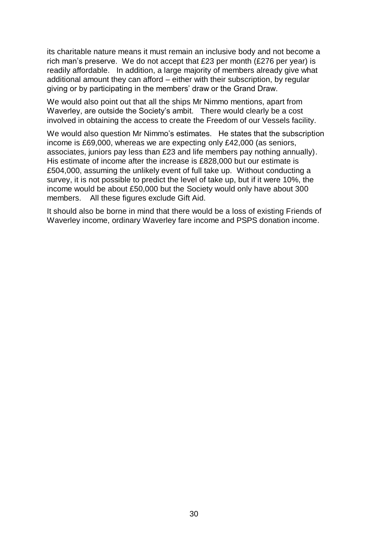its charitable nature means it must remain an inclusive body and not become a rich man's preserve. We do not accept that £23 per month (£276 per year) is readily affordable. In addition, a large majority of members already give what additional amount they can afford – either with their subscription, by regular giving or by participating in the members' draw or the Grand Draw.

We would also point out that all the ships Mr Nimmo mentions, apart from Waverley, are outside the Society's ambit. There would clearly be a cost involved in obtaining the access to create the Freedom of our Vessels facility.

We would also question Mr Nimmo's estimates. He states that the subscription income is £69,000, whereas we are expecting only £42,000 (as seniors, associates, juniors pay less than £23 and life members pay nothing annually). His estimate of income after the increase is £828,000 but our estimate is £504,000, assuming the unlikely event of full take up. Without conducting a survey, it is not possible to predict the level of take up, but if it were 10%, the income would be about £50,000 but the Society would only have about 300 members. All these figures exclude Gift Aid.

It should also be borne in mind that there would be a loss of existing Friends of Waverley income, ordinary Waverley fare income and PSPS donation income.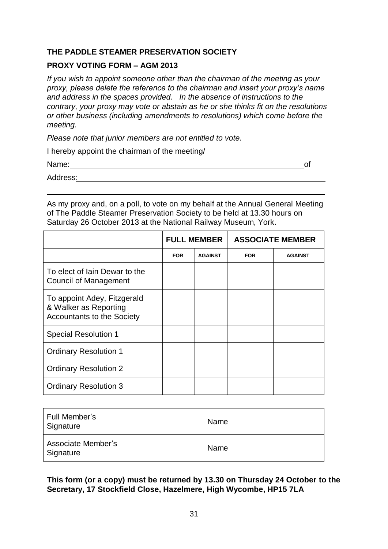# **THE PADDLE STEAMER PRESERVATION SOCIETY**

### **PROXY VOTING FORM – AGM 2013**

*If you wish to appoint someone other than the chairman of the meeting as your proxy, please delete the reference to the chairman and insert your proxy's name and address in the spaces provided. In the absence of instructions to the contrary, your proxy may vote or abstain as he or she thinks fit on the resolutions or other business (including amendments to resolutions) which come before the meeting.*

*Please note that junior members are not entitled to vote.*

I hereby appoint the chairman of the meeting/

Name: of

Address:.

As my proxy and, on a poll, to vote on my behalf at the Annual General Meeting of The Paddle Steamer Preservation Society to be held at 13.30 hours on Saturday 26 October 2013 at the National Railway Museum, York.

.

|                                                                                           | <b>FULL MEMBER</b> |                | <b>ASSOCIATE MEMBER</b> |                |
|-------------------------------------------------------------------------------------------|--------------------|----------------|-------------------------|----------------|
|                                                                                           | <b>FOR</b>         | <b>AGAINST</b> | <b>FOR</b>              | <b>AGAINST</b> |
| To elect of lain Dewar to the<br><b>Council of Management</b>                             |                    |                |                         |                |
| To appoint Adey, Fitzgerald<br>& Walker as Reporting<br><b>Accountants to the Society</b> |                    |                |                         |                |
| <b>Special Resolution 1</b>                                                               |                    |                |                         |                |
| <b>Ordinary Resolution 1</b>                                                              |                    |                |                         |                |
| <b>Ordinary Resolution 2</b>                                                              |                    |                |                         |                |
| <b>Ordinary Resolution 3</b>                                                              |                    |                |                         |                |

| Full Member's<br>Signature      | Name |
|---------------------------------|------|
| Associate Member's<br>Signature | Name |

**This form (or a copy) must be returned by 13.30 on Thursday 24 October to the Secretary, 17 Stockfield Close, Hazelmere, High Wycombe, HP15 7LA**